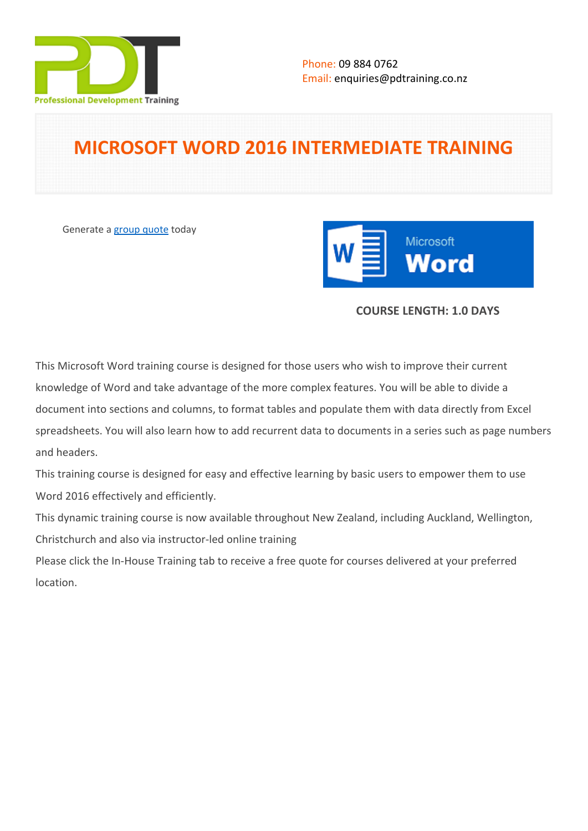

# **MICROSOFT WORD 2016 INTERMEDIATE TRAINING**

Generate a [group quote](https://pdtraining.co.nz/inhouse-training-quote?cse=MSW16INTER) today



# **COURSE LENGTH: 1.0 DAYS**

This Microsoft Word training course is designed for those users who wish to improve their current knowledge of Word and take advantage of the more complex features. You will be able to divide a document into sections and columns, to format tables and populate them with data directly from Excel spreadsheets. You will also learn how to add recurrent data to documents in a series such as page numbers and headers.

This training course is designed for easy and effective learning by basic users to empower them to use Word 2016 effectively and efficiently.

This dynamic training course is now available throughout New Zealand, including Auckland, Wellington, Christchurch and also via instructor-led online training

Please click the In-House Training tab to receive a free quote for courses delivered at your preferred location.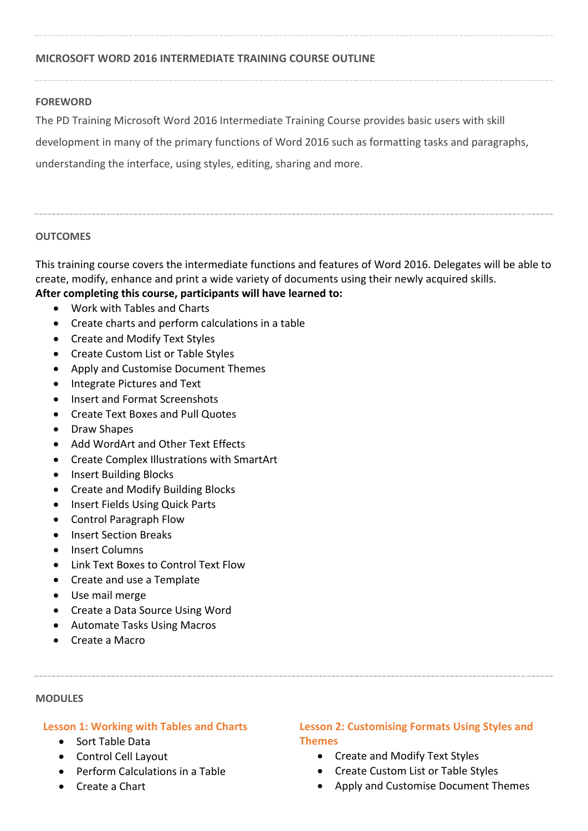# **MICROSOFT WORD 2016 INTERMEDIATE TRAINING COURSE OUTLINE**

# **FOREWORD**

The PD Training Microsoft Word 2016 Intermediate Training Course provides basic users with skill development in many of the primary functions of Word 2016 such as formatting tasks and paragraphs, understanding the interface, using styles, editing, sharing and more.

# **OUTCOMES**

This training course covers the intermediate functions and features of Word 2016. Delegates will be able to create, modify, enhance and print a wide variety of documents using their newly acquired skills.

# **After completing this course, participants will have learned to:**

- Work with Tables and Charts
- Create charts and perform calculations in a table
- Create and Modify Text Styles
- Create Custom List or Table Styles
- Apply and Customise Document Themes
- Integrate Pictures and Text
- Insert and Format Screenshots
- Create Text Boxes and Pull Quotes
- Draw Shapes
- Add WordArt and Other Text Effects
- Create Complex Illustrations with SmartArt
- Insert Building Blocks
- Create and Modify Building Blocks
- Insert Fields Using Quick Parts
- Control Paragraph Flow
- Insert Section Breaks
- Insert Columns
- Link Text Boxes to Control Text Flow
- Create and use a Template
- Use mail merge
- Create a Data Source Using Word
- Automate Tasks Using Macros
- Create a Macro

## **MODULES**

# **Lesson 1: Working with Tables and Charts**

- Sort Table Data
- Control Cell Layout
- Perform Calculations in a Table
- Create a Chart

# **Lesson 2: Customising Formats Using Styles and Themes**

- Create and Modify Text Styles
- Create Custom List or Table Styles
- Apply and Customise Document Themes